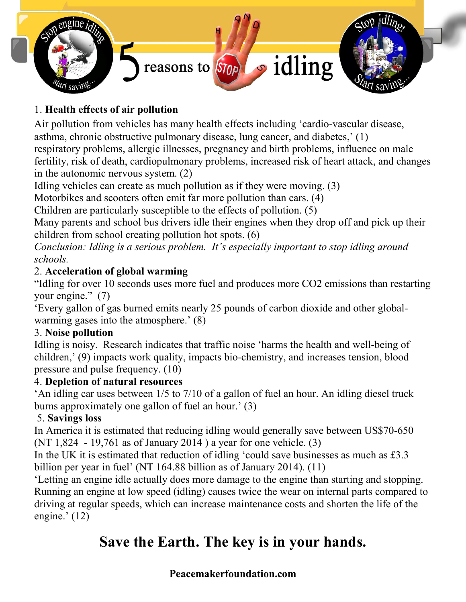

# 1. Health effects of air pollution

Air pollution from vehicles has many health effects including 'cardio-vascular disease, asthma, chronic obstructive pulmonary disease, lung cancer, and diabetes,' (1) respiratory problems, allergic illnesses, pregnancy and birth problems, influence on male fertility, risk of death, cardiopulmonary problems, increased risk of heart attack, and changes in the autonomic nervous system. (2)

Idling vehicles can create as much pollution as if they were moving. (3)

Motorbikes and scooters often emit far more pollution than cars. (4)

Children are particularly susceptible to the effects of pollution. (5)

Many parents and school bus drivers idle their engines when they drop off and pick up their children from school creating pollution hot spots. (6)

*Conclusion: Idling is a serious problem. It's especially important to stop idling around schools.*

### 2. Acceleration of global warming

"Idling for over 10 seconds uses more fuel and produces more CO2 emissions than restarting your engine." (7)

'Every gallon of gas burned emits nearly 25 pounds of carbon dioxide and other globalwarming gases into the atmosphere.' (8)

#### 3. Noise pollution

Idling is noisy. Research indicates that traffic noise 'harms the health and well-being of children,' (9) impacts work quality, impacts bio-chemistry, and increases tension, blood pressure and pulse frequency. (10)

#### 4. Depletion of natural resources

'An idling car uses between 1/5 to 7/10 of a gallon of fuel an hour. An idling diesel truck burns approximately one gallon of fuel an hour.' (3)

#### 5. Savings loss

In America it is estimated that reducing idling would generally save between US\$70-650 (NT 1,824 - 19,761 as of January 2014 ) a year for one vehicle. (3)

In the UK it is estimated that reduction of idling 'could save businesses as much as £3.3 billion per year in fuel' (NT 164.88 billion as of January 2014). (11)

'Letting an engine idle actually does more damage to the engine than starting and stopping. Running an engine at low speed (idling) causes twice the wear on internal parts compared to driving at regular speeds, which can increase maintenance costs and shorten the life of the engine.' (12)

# Save the Earth. The key is in your hands.

## Peacemakerfoundation.com